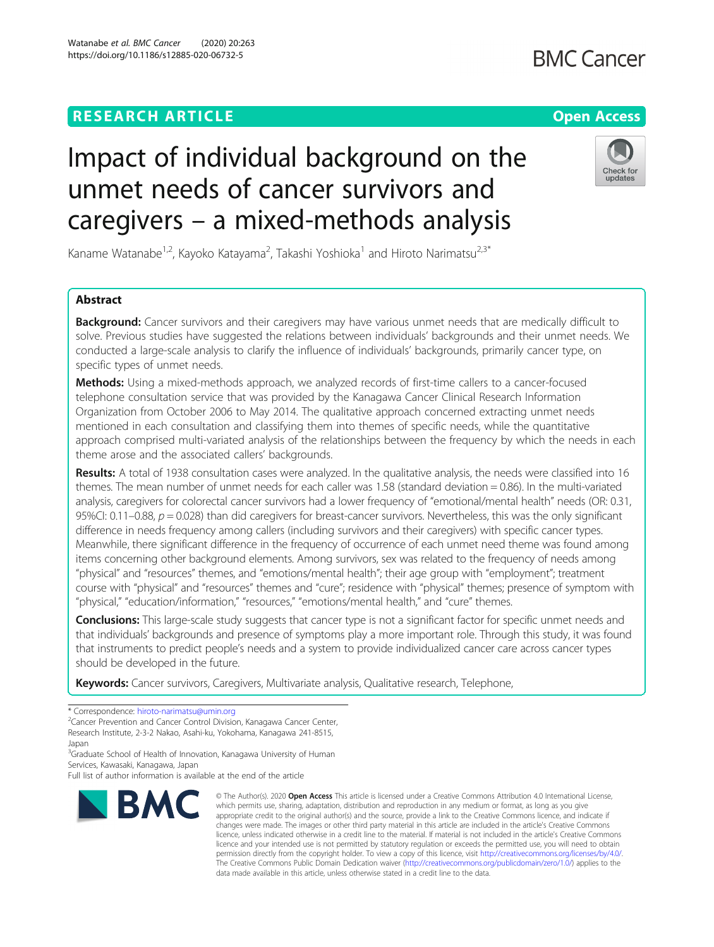## **RESEARCH ARTICLE Example 2014 12:30 The Contract of Contract ACCESS**

# **BMC Cancer**

Check for updates

# Impact of individual background on the unmet needs of cancer survivors and caregivers – a mixed-methods analysis

Kaname Watanabe<sup>1,2</sup>, Kayoko Katayama<sup>2</sup>, Takashi Yoshioka<sup>1</sup> and Hiroto Narimatsu<sup>2,3\*</sup>

### Abstract

Background: Cancer survivors and their caregivers may have various unmet needs that are medically difficult to solve. Previous studies have suggested the relations between individuals' backgrounds and their unmet needs. We conducted a large-scale analysis to clarify the influence of individuals' backgrounds, primarily cancer type, on specific types of unmet needs.

Methods: Using a mixed-methods approach, we analyzed records of first-time callers to a cancer-focused telephone consultation service that was provided by the Kanagawa Cancer Clinical Research Information Organization from October 2006 to May 2014. The qualitative approach concerned extracting unmet needs mentioned in each consultation and classifying them into themes of specific needs, while the quantitative approach comprised multi-variated analysis of the relationships between the frequency by which the needs in each theme arose and the associated callers' backgrounds.

Results: A total of 1938 consultation cases were analyzed. In the qualitative analysis, the needs were classified into 16 themes. The mean number of unmet needs for each caller was 1.58 (standard deviation = 0.86). In the multi-variated analysis, caregivers for colorectal cancer survivors had a lower frequency of "emotional/mental health" needs (OR: 0.31, 95%CI: 0.11–0.88,  $p = 0.028$ ) than did caregivers for breast-cancer survivors. Nevertheless, this was the only significant difference in needs frequency among callers (including survivors and their caregivers) with specific cancer types. Meanwhile, there significant difference in the frequency of occurrence of each unmet need theme was found among items concerning other background elements. Among survivors, sex was related to the frequency of needs among "physical" and "resources" themes, and "emotions/mental health"; their age group with "employment"; treatment course with "physical" and "resources" themes and "cure"; residence with "physical" themes; presence of symptom with "physical," "education/information," "resources," "emotions/mental health," and "cure" themes.

Conclusions: This large-scale study suggests that cancer type is not a significant factor for specific unmet needs and that individuals' backgrounds and presence of symptoms play a more important role. Through this study, it was found that instruments to predict people's needs and a system to provide individualized cancer care across cancer types should be developed in the future.

Keywords: Cancer survivors, Caregivers, Multivariate analysis, Qualitative research, Telephone,

\* Correspondence: [hiroto-narimatsu@umin.org](mailto:hiroto-narimatsu@umin.org)<br><sup>2</sup>Cancer Prevention and Cancer Control Division, Kanagawa Cancer Center, Research Institute, 2-3-2 Nakao, Asahi-ku, Yokohama, Kanagawa 241-8515, Japan

<sup>3</sup>Graduate School of Health of Innovation, Kanagawa University of Human Services, Kawasaki, Kanagawa, Japan

Full list of author information is available at the end of the article



<sup>©</sup> The Author(s), 2020 **Open Access** This article is licensed under a Creative Commons Attribution 4.0 International License, which permits use, sharing, adaptation, distribution and reproduction in any medium or format, as long as you give appropriate credit to the original author(s) and the source, provide a link to the Creative Commons licence, and indicate if changes were made. The images or other third party material in this article are included in the article's Creative Commons licence, unless indicated otherwise in a credit line to the material. If material is not included in the article's Creative Commons licence and your intended use is not permitted by statutory regulation or exceeds the permitted use, you will need to obtain permission directly from the copyright holder. To view a copy of this licence, visit [http://creativecommons.org/licenses/by/4.0/.](http://creativecommons.org/licenses/by/4.0/) The Creative Commons Public Domain Dedication waiver [\(http://creativecommons.org/publicdomain/zero/1.0/](http://creativecommons.org/publicdomain/zero/1.0/)) applies to the data made available in this article, unless otherwise stated in a credit line to the data.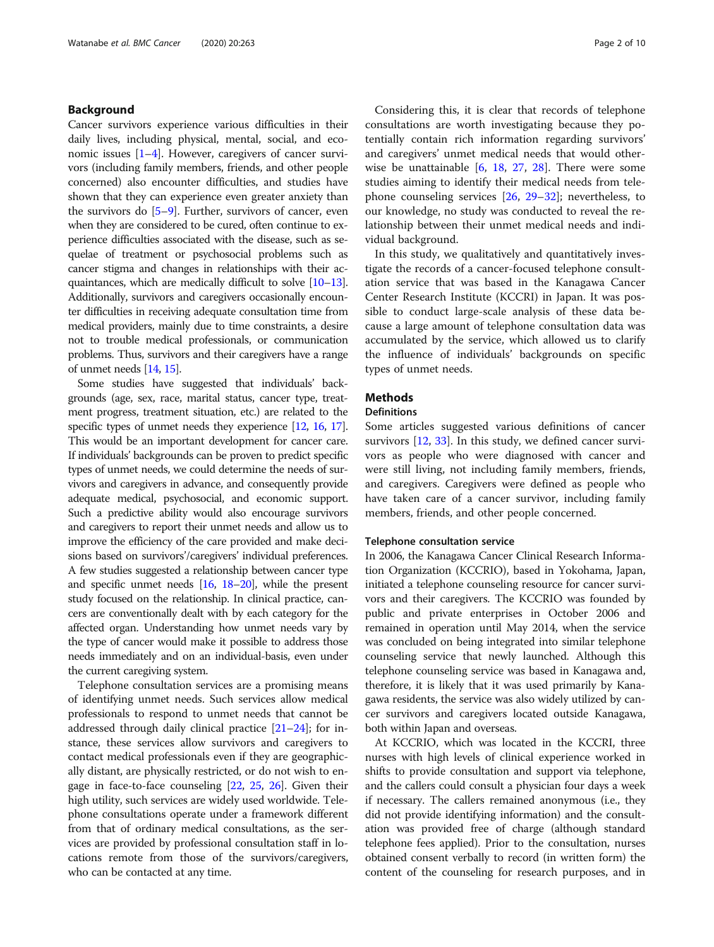#### Background

Cancer survivors experience various difficulties in their daily lives, including physical, mental, social, and economic issues [[1](#page-8-0)–[4](#page-8-0)]. However, caregivers of cancer survivors (including family members, friends, and other people concerned) also encounter difficulties, and studies have shown that they can experience even greater anxiety than the survivors do [\[5](#page-8-0)–[9\]](#page-9-0). Further, survivors of cancer, even when they are considered to be cured, often continue to experience difficulties associated with the disease, such as sequelae of treatment or psychosocial problems such as cancer stigma and changes in relationships with their acquaintances, which are medically difficult to solve [[10](#page-9-0)–[13](#page-9-0)]. Additionally, survivors and caregivers occasionally encounter difficulties in receiving adequate consultation time from medical providers, mainly due to time constraints, a desire not to trouble medical professionals, or communication problems. Thus, survivors and their caregivers have a range of unmet needs [\[14](#page-9-0), [15](#page-9-0)].

Some studies have suggested that individuals' backgrounds (age, sex, race, marital status, cancer type, treatment progress, treatment situation, etc.) are related to the specific types of unmet needs they experience [\[12,](#page-9-0) [16,](#page-9-0) [17](#page-9-0)]. This would be an important development for cancer care. If individuals' backgrounds can be proven to predict specific types of unmet needs, we could determine the needs of survivors and caregivers in advance, and consequently provide adequate medical, psychosocial, and economic support. Such a predictive ability would also encourage survivors and caregivers to report their unmet needs and allow us to improve the efficiency of the care provided and make decisions based on survivors'/caregivers' individual preferences. A few studies suggested a relationship between cancer type and specific unmet needs [\[16,](#page-9-0) [18](#page-9-0)–[20\]](#page-9-0), while the present study focused on the relationship. In clinical practice, cancers are conventionally dealt with by each category for the affected organ. Understanding how unmet needs vary by the type of cancer would make it possible to address those needs immediately and on an individual-basis, even under the current caregiving system.

Telephone consultation services are a promising means of identifying unmet needs. Such services allow medical professionals to respond to unmet needs that cannot be addressed through daily clinical practice [\[21](#page-9-0)–[24\]](#page-9-0); for instance, these services allow survivors and caregivers to contact medical professionals even if they are geographically distant, are physically restricted, or do not wish to engage in face-to-face counseling [\[22,](#page-9-0) [25](#page-9-0), [26](#page-9-0)]. Given their high utility, such services are widely used worldwide. Telephone consultations operate under a framework different from that of ordinary medical consultations, as the services are provided by professional consultation staff in locations remote from those of the survivors/caregivers, who can be contacted at any time.

Considering this, it is clear that records of telephone consultations are worth investigating because they potentially contain rich information regarding survivors' and caregivers' unmet medical needs that would otherwise be unattainable [\[6](#page-8-0), [18,](#page-9-0) [27](#page-9-0), [28](#page-9-0)]. There were some studies aiming to identify their medical needs from telephone counseling services [\[26,](#page-9-0) [29](#page-9-0)–[32](#page-9-0)]; nevertheless, to our knowledge, no study was conducted to reveal the relationship between their unmet medical needs and individual background.

In this study, we qualitatively and quantitatively investigate the records of a cancer-focused telephone consultation service that was based in the Kanagawa Cancer Center Research Institute (KCCRI) in Japan. It was possible to conduct large-scale analysis of these data because a large amount of telephone consultation data was accumulated by the service, which allowed us to clarify the influence of individuals' backgrounds on specific types of unmet needs.

#### **Methods**

#### Definitions

Some articles suggested various definitions of cancer survivors [[12,](#page-9-0) [33\]](#page-9-0). In this study, we defined cancer survivors as people who were diagnosed with cancer and were still living, not including family members, friends, and caregivers. Caregivers were defined as people who have taken care of a cancer survivor, including family members, friends, and other people concerned.

#### Telephone consultation service

In 2006, the Kanagawa Cancer Clinical Research Information Organization (KCCRIO), based in Yokohama, Japan, initiated a telephone counseling resource for cancer survivors and their caregivers. The KCCRIO was founded by public and private enterprises in October 2006 and remained in operation until May 2014, when the service was concluded on being integrated into similar telephone counseling service that newly launched. Although this telephone counseling service was based in Kanagawa and, therefore, it is likely that it was used primarily by Kanagawa residents, the service was also widely utilized by cancer survivors and caregivers located outside Kanagawa, both within Japan and overseas.

At KCCRIO, which was located in the KCCRI, three nurses with high levels of clinical experience worked in shifts to provide consultation and support via telephone, and the callers could consult a physician four days a week if necessary. The callers remained anonymous (i.e., they did not provide identifying information) and the consultation was provided free of charge (although standard telephone fees applied). Prior to the consultation, nurses obtained consent verbally to record (in written form) the content of the counseling for research purposes, and in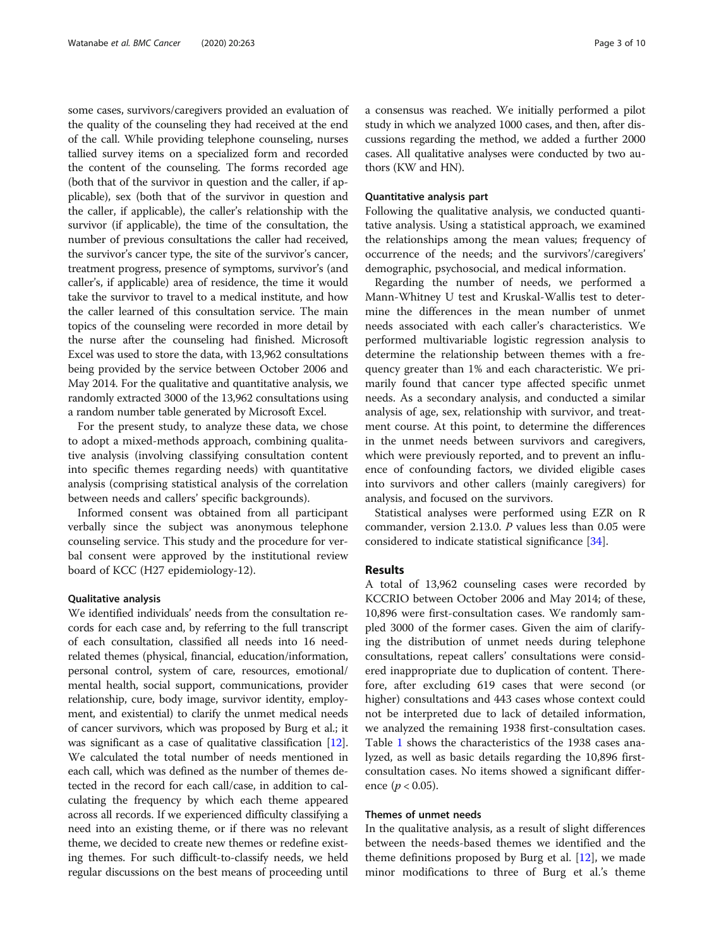some cases, survivors/caregivers provided an evaluation of the quality of the counseling they had received at the end of the call. While providing telephone counseling, nurses tallied survey items on a specialized form and recorded the content of the counseling. The forms recorded age (both that of the survivor in question and the caller, if applicable), sex (both that of the survivor in question and the caller, if applicable), the caller's relationship with the survivor (if applicable), the time of the consultation, the number of previous consultations the caller had received, the survivor's cancer type, the site of the survivor's cancer, treatment progress, presence of symptoms, survivor's (and caller's, if applicable) area of residence, the time it would take the survivor to travel to a medical institute, and how the caller learned of this consultation service. The main topics of the counseling were recorded in more detail by the nurse after the counseling had finished. Microsoft Excel was used to store the data, with 13,962 consultations being provided by the service between October 2006 and May 2014. For the qualitative and quantitative analysis, we randomly extracted 3000 of the 13,962 consultations using a random number table generated by Microsoft Excel.

For the present study, to analyze these data, we chose to adopt a mixed-methods approach, combining qualitative analysis (involving classifying consultation content into specific themes regarding needs) with quantitative analysis (comprising statistical analysis of the correlation between needs and callers' specific backgrounds).

Informed consent was obtained from all participant verbally since the subject was anonymous telephone counseling service. This study and the procedure for verbal consent were approved by the institutional review board of KCC (H27 epidemiology-12).

#### Qualitative analysis

We identified individuals' needs from the consultation records for each case and, by referring to the full transcript of each consultation, classified all needs into 16 needrelated themes (physical, financial, education/information, personal control, system of care, resources, emotional/ mental health, social support, communications, provider relationship, cure, body image, survivor identity, employment, and existential) to clarify the unmet medical needs of cancer survivors, which was proposed by Burg et al.; it was significant as a case of qualitative classification [[12](#page-9-0)]. We calculated the total number of needs mentioned in each call, which was defined as the number of themes detected in the record for each call/case, in addition to calculating the frequency by which each theme appeared across all records. If we experienced difficulty classifying a need into an existing theme, or if there was no relevant theme, we decided to create new themes or redefine existing themes. For such difficult-to-classify needs, we held regular discussions on the best means of proceeding until a consensus was reached. We initially performed a pilot study in which we analyzed 1000 cases, and then, after discussions regarding the method, we added a further 2000 cases. All qualitative analyses were conducted by two authors (KW and HN).

#### Quantitative analysis part

Following the qualitative analysis, we conducted quantitative analysis. Using a statistical approach, we examined the relationships among the mean values; frequency of occurrence of the needs; and the survivors'/caregivers' demographic, psychosocial, and medical information.

Regarding the number of needs, we performed a Mann-Whitney U test and Kruskal-Wallis test to determine the differences in the mean number of unmet needs associated with each caller's characteristics. We performed multivariable logistic regression analysis to determine the relationship between themes with a frequency greater than 1% and each characteristic. We primarily found that cancer type affected specific unmet needs. As a secondary analysis, and conducted a similar analysis of age, sex, relationship with survivor, and treatment course. At this point, to determine the differences in the unmet needs between survivors and caregivers, which were previously reported, and to prevent an influence of confounding factors, we divided eligible cases into survivors and other callers (mainly caregivers) for analysis, and focused on the survivors.

Statistical analyses were performed using EZR on R commander, version 2.13.0. P values less than 0.05 were considered to indicate statistical significance [[34](#page-9-0)].

#### Results

A total of 13,962 counseling cases were recorded by KCCRIO between October 2006 and May 2014; of these, 10,896 were first-consultation cases. We randomly sampled 3000 of the former cases. Given the aim of clarifying the distribution of unmet needs during telephone consultations, repeat callers' consultations were considered inappropriate due to duplication of content. Therefore, after excluding 619 cases that were second (or higher) consultations and 443 cases whose context could not be interpreted due to lack of detailed information, we analyzed the remaining 1938 first-consultation cases. Table [1](#page-3-0) shows the characteristics of the 1938 cases analyzed, as well as basic details regarding the 10,896 firstconsultation cases. No items showed a significant difference  $(p < 0.05)$ .

#### Themes of unmet needs

In the qualitative analysis, as a result of slight differences between the needs-based themes we identified and the theme definitions proposed by Burg et al. [\[12](#page-9-0)], we made minor modifications to three of Burg et al.'s theme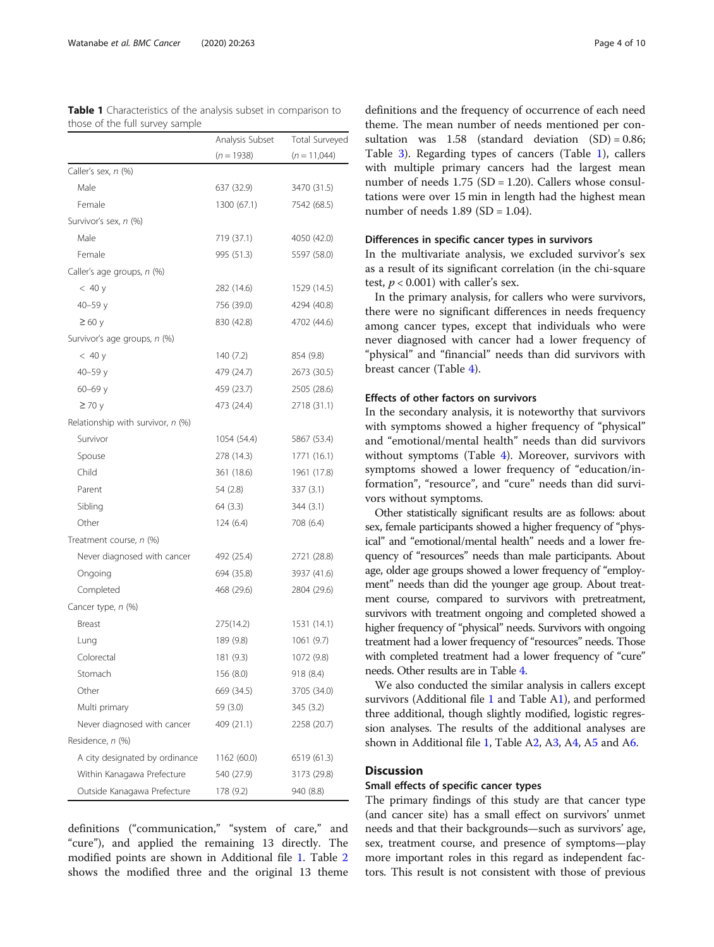| those of the full survey sample     | Analysis Subset | Total Surveyed |
|-------------------------------------|-----------------|----------------|
|                                     | $(n = 1938)$    | $(n = 11,044)$ |
| Caller's sex, n (%)                 |                 |                |
| Male                                | 637 (32.9)      | 3470 (31.5)    |
| Female                              | 1300 (67.1)     | 7542 (68.5)    |
| Survivor's sex, n (%)               |                 |                |
| Male                                | 719 (37.1)      | 4050 (42.0)    |
| Female                              | 995 (51.3)      | 5597 (58.0)    |
| Caller's age groups, n (%)          |                 |                |
| $<$ 40 y                            | 282 (14.6)      | 1529 (14.5)    |
| $40 - 59y$                          | 756 (39.0)      | 4294 (40.8)    |
| $\geq 60$ y                         | 830 (42.8)      | 4702 (44.6)    |
| Survivor's age groups, n (%)        |                 |                |
| $<$ 40 y                            | 140(7.2)        | 854 (9.8)      |
| $40 - 59y$                          | 479 (24.7)      | 2673 (30.5)    |
| $60 - 69y$                          | 459 (23.7)      | 2505 (28.6)    |
| $\geq 70$ y                         | 473 (24.4)      | 2718 (31.1)    |
| Relationship with survivor, $n$ (%) |                 |                |
| Survivor                            | 1054 (54.4)     | 5867 (53.4)    |
| Spouse                              | 278 (14.3)      | 1771 (16.1)    |
| Child                               | 361 (18.6)      | 1961 (17.8)    |
| Parent                              | 54 (2.8)        | 337 (3.1)      |
| Sibling                             | 64 (3.3)        | 344(3.1)       |
| Other                               | 124(6.4)        | 708 (6.4)      |
| Treatment course, n (%)             |                 |                |
| Never diagnosed with cancer         | 492 (25.4)      | 2721 (28.8)    |
| Ongoing                             | 694 (35.8)      | 3937 (41.6)    |
| Completed                           | 468 (29.6)      | 2804 (29.6)    |
| Cancer type, n (%)                  |                 |                |
| <b>Breast</b>                       | 275(14.2)       | 1531 (14.1)    |
| Lung                                | 189 (9.8)       | 1061 (9.7)     |
| Colorectal                          | 181 (9.3)       | 1072 (9.8)     |
| Stomach                             | 156 (8.0)       | 918 (8.4)      |
| Other                               | 669 (34.5)      | 3705 (34.0)    |
| Multi primary                       | 59 (3.0)        | 345 (3.2)      |
| Never diagnosed with cancer         | 409 (21.1)      | 2258 (20.7)    |
| Residence, n (%)                    |                 |                |
| A city designated by ordinance      | 1162 (60.0)     | 6519 (61.3)    |
| Within Kanagawa Prefecture          | 540 (27.9)      | 3173 (29.8)    |
| Outside Kanagawa Prefecture         | 178 (9.2)       | 940 (8.8)      |

<span id="page-3-0"></span>Table 1 Characteristics of the analysis subset in comparison to those of the full survey sample

definitions ("communication," "system of care," and "cure"), and applied the remaining 13 directly. The modified points are shown in Additional file [1.](#page-8-0) Table [2](#page-4-0) shows the modified three and the original 13 theme definitions and the frequency of occurrence of each need theme. The mean number of needs mentioned per consultation was  $1.58$  (standard deviation  $(SD) = 0.86$ ; Table [3](#page-5-0)). Regarding types of cancers (Table 1), callers with multiple primary cancers had the largest mean number of needs  $1.75$  (SD = 1.20). Callers whose consultations were over 15 min in length had the highest mean number of needs  $1.89$  (SD =  $1.04$ ).

#### Differences in specific cancer types in survivors

In the multivariate analysis, we excluded survivor's sex as a result of its significant correlation (in the chi-square test,  $p < 0.001$ ) with caller's sex.

In the primary analysis, for callers who were survivors, there were no significant differences in needs frequency among cancer types, except that individuals who were never diagnosed with cancer had a lower frequency of "physical" and "financial" needs than did survivors with breast cancer (Table [4\)](#page-6-0).

#### Effects of other factors on survivors

In the secondary analysis, it is noteworthy that survivors with symptoms showed a higher frequency of "physical" and "emotional/mental health" needs than did survivors without symptoms (Table [4\)](#page-6-0). Moreover, survivors with symptoms showed a lower frequency of "education/information", "resource", and "cure" needs than did survivors without symptoms.

Other statistically significant results are as follows: about sex, female participants showed a higher frequency of "physical" and "emotional/mental health" needs and a lower frequency of "resources" needs than male participants. About age, older age groups showed a lower frequency of "employment" needs than did the younger age group. About treatment course, compared to survivors with pretreatment, survivors with treatment ongoing and completed showed a higher frequency of "physical" needs. Survivors with ongoing treatment had a lower frequency of "resources" needs. Those with completed treatment had a lower frequency of "cure" needs. Other results are in Table [4](#page-6-0).

We also conducted the similar analysis in callers except survivors (Additional file [1](#page-8-0) and Table A[1](#page-8-0)), and performed three additional, though slightly modified, logistic regression analyses. The results of the additional analyses are shown in Additional file [1](#page-8-0), Table [A2,](#page-8-0) [A3](#page-8-0), A[4,](#page-8-0) [A5](#page-8-0) and A[6.](#page-8-0)

#### **Discussion**

#### Small effects of specific cancer types

The primary findings of this study are that cancer type (and cancer site) has a small effect on survivors' unmet needs and that their backgrounds—such as survivors' age, sex, treatment course, and presence of symptoms—play more important roles in this regard as independent factors. This result is not consistent with those of previous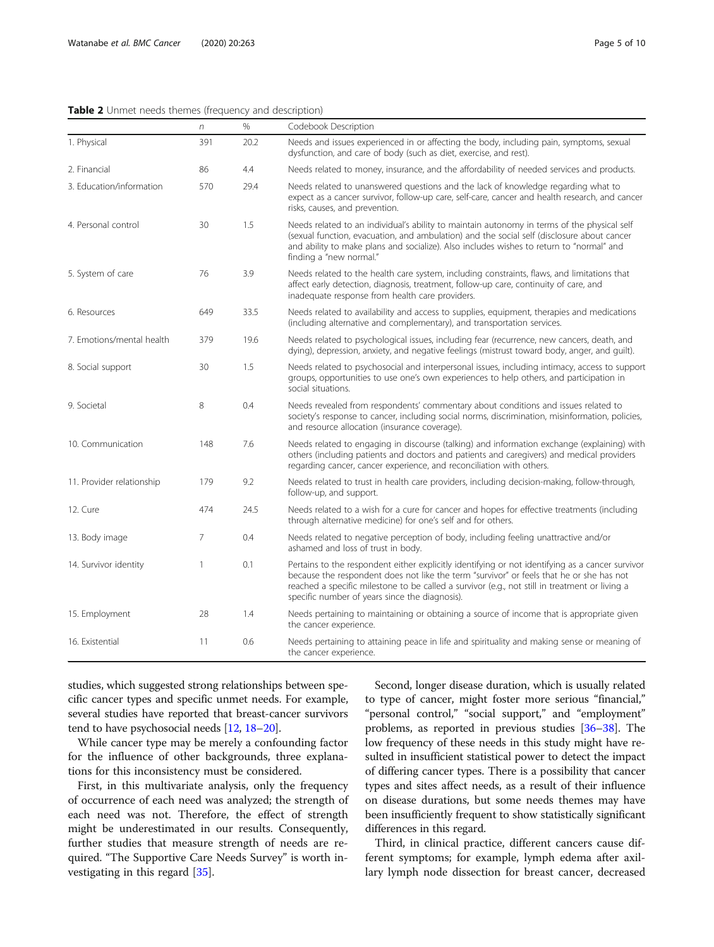<span id="page-4-0"></span>Table 2 Unmet needs themes (frequency and description)

|                           | $\sqrt{n}$   | $\%$ | Codebook Description                                                                                                                                                                                                                                                                                                                             |
|---------------------------|--------------|------|--------------------------------------------------------------------------------------------------------------------------------------------------------------------------------------------------------------------------------------------------------------------------------------------------------------------------------------------------|
| 1. Physical               | 391          | 20.2 | Needs and issues experienced in or affecting the body, including pain, symptoms, sexual<br>dysfunction, and care of body (such as diet, exercise, and rest).                                                                                                                                                                                     |
| 2. Financial              | 86           | 4.4  | Needs related to money, insurance, and the affordability of needed services and products.                                                                                                                                                                                                                                                        |
| 3. Education/information  | 570          | 29.4 | Needs related to unanswered questions and the lack of knowledge regarding what to<br>expect as a cancer survivor, follow-up care, self-care, cancer and health research, and cancer<br>risks, causes, and prevention.                                                                                                                            |
| 4. Personal control       | 30           | 1.5  | Needs related to an individual's ability to maintain autonomy in terms of the physical self<br>(sexual function, evacuation, and ambulation) and the social self (disclosure about cancer<br>and ability to make plans and socialize). Also includes wishes to return to "normal" and<br>finding a "new normal."                                 |
| 5. System of care         | 76           | 3.9  | Needs related to the health care system, including constraints, flaws, and limitations that<br>affect early detection, diagnosis, treatment, follow-up care, continuity of care, and<br>inadequate response from health care providers.                                                                                                          |
| 6. Resources              | 649          | 33.5 | Needs related to availability and access to supplies, equipment, therapies and medications<br>(including alternative and complementary), and transportation services.                                                                                                                                                                            |
| 7. Emotions/mental health | 379          | 19.6 | Needs related to psychological issues, including fear (recurrence, new cancers, death, and<br>dying), depression, anxiety, and negative feelings (mistrust toward body, anger, and quilt).                                                                                                                                                       |
| 8. Social support         | 30           | 1.5  | Needs related to psychosocial and interpersonal issues, including intimacy, access to support<br>groups, opportunities to use one's own experiences to help others, and participation in<br>social situations.                                                                                                                                   |
| 9. Societal               | 8            | 0.4  | Needs revealed from respondents' commentary about conditions and issues related to<br>society's response to cancer, including social norms, discrimination, misinformation, policies,<br>and resource allocation (insurance coverage).                                                                                                           |
| 10. Communication         | 148          | 7.6  | Needs related to engaging in discourse (talking) and information exchange (explaining) with<br>others (including patients and doctors and patients and caregivers) and medical providers<br>regarding cancer, cancer experience, and reconciliation with others.                                                                                 |
| 11. Provider relationship | 179          | 9.2  | Needs related to trust in health care providers, including decision-making, follow-through,<br>follow-up, and support.                                                                                                                                                                                                                           |
| 12. Cure                  | 474          | 24.5 | Needs related to a wish for a cure for cancer and hopes for effective treatments (including<br>through alternative medicine) for one's self and for others.                                                                                                                                                                                      |
| 13. Body image            | 7            | 0.4  | Needs related to negative perception of body, including feeling unattractive and/or<br>ashamed and loss of trust in body.                                                                                                                                                                                                                        |
| 14. Survivor identity     | $\mathbf{1}$ | 0.1  | Pertains to the respondent either explicitly identifying or not identifying as a cancer survivor<br>because the respondent does not like the term "survivor" or feels that he or she has not<br>reached a specific milestone to be called a survivor (e.g., not still in treatment or living a<br>specific number of years since the diagnosis). |
| 15. Employment            | 28           | 1.4  | Needs pertaining to maintaining or obtaining a source of income that is appropriate given<br>the cancer experience.                                                                                                                                                                                                                              |
| 16. Existential           | 11           | 0.6  | Needs pertaining to attaining peace in life and spirituality and making sense or meaning of<br>the cancer experience.                                                                                                                                                                                                                            |

studies, which suggested strong relationships between specific cancer types and specific unmet needs. For example, several studies have reported that breast-cancer survivors tend to have psychosocial needs [[12,](#page-9-0) [18](#page-9-0)–[20](#page-9-0)].

While cancer type may be merely a confounding factor for the influence of other backgrounds, three explanations for this inconsistency must be considered.

First, in this multivariate analysis, only the frequency of occurrence of each need was analyzed; the strength of each need was not. Therefore, the effect of strength might be underestimated in our results. Consequently, further studies that measure strength of needs are required. "The Supportive Care Needs Survey" is worth investigating in this regard [[35\]](#page-9-0).

Second, longer disease duration, which is usually related to type of cancer, might foster more serious "financial," "personal control," "social support," and "employment" problems, as reported in previous studies [\[36](#page-9-0)–[38\]](#page-9-0). The low frequency of these needs in this study might have resulted in insufficient statistical power to detect the impact of differing cancer types. There is a possibility that cancer types and sites affect needs, as a result of their influence on disease durations, but some needs themes may have been insufficiently frequent to show statistically significant differences in this regard.

Third, in clinical practice, different cancers cause different symptoms; for example, lymph edema after axillary lymph node dissection for breast cancer, decreased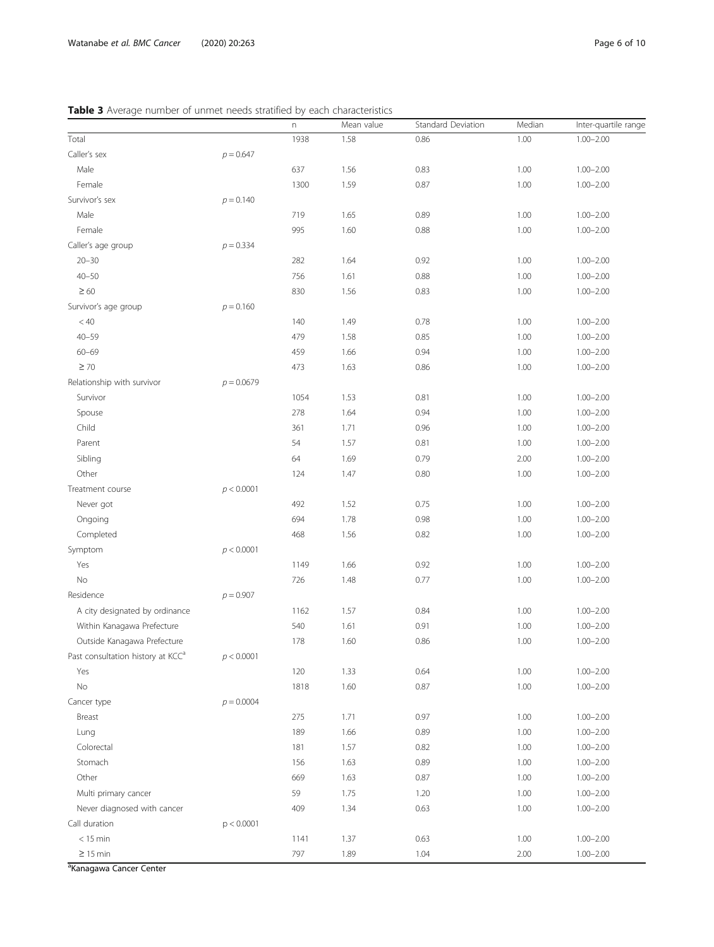<span id="page-5-0"></span>

| Table 3 Average number of unmet needs stratified by each characteristics |  |
|--------------------------------------------------------------------------|--|
|--------------------------------------------------------------------------|--|

|                                               |              | $\,$ $\,$ | Mean value | Standard Deviation | Median | Inter-quartile range |
|-----------------------------------------------|--------------|-----------|------------|--------------------|--------|----------------------|
| Total                                         |              | 1938      | 1.58       | 0.86               | 1.00   | $1.00 - 2.00$        |
| Caller's sex                                  | $p = 0.647$  |           |            |                    |        |                      |
| Male                                          |              | 637       | 1.56       | 0.83               | 1.00   | $1.00 - 2.00$        |
| Female                                        |              | 1300      | 1.59       | 0.87               | 1.00   | $1.00 - 2.00$        |
| Survivor's sex                                | $p = 0.140$  |           |            |                    |        |                      |
| Male                                          |              | 719       | 1.65       | 0.89               | 1.00   | $1.00 - 2.00$        |
| Female                                        |              | 995       | 1.60       | 0.88               | 1.00   | $1.00 - 2.00$        |
| Caller's age group                            | $p = 0.334$  |           |            |                    |        |                      |
| $20 - 30$                                     |              | 282       | 1.64       | 0.92               | 1.00   | $1.00 - 2.00$        |
| $40 - 50$                                     |              | 756       | 1.61       | 0.88               | 1.00   | $1.00 - 2.00$        |
| $\geq 60$                                     |              | 830       | 1.56       | 0.83               | 1.00   | $1.00 - 2.00$        |
| Survivor's age group                          | $p = 0.160$  |           |            |                    |        |                      |
| < 40                                          |              | 140       | 1.49       | 0.78               | 1.00   | $1.00 - 2.00$        |
| $40 - 59$                                     |              | 479       | 1.58       | 0.85               | 1.00   | $1.00 - 2.00$        |
| $60 - 69$                                     |              | 459       | 1.66       | 0.94               | 1.00   | $1.00 - 2.00$        |
| $\geq 70$                                     |              | 473       | 1.63       | 0.86               | 1.00   | $1.00 - 2.00$        |
| Relationship with survivor                    | $p = 0.0679$ |           |            |                    |        |                      |
| Survivor                                      |              | 1054      | 1.53       | 0.81               | 1.00   | $1.00 - 2.00$        |
| Spouse                                        |              | 278       | 1.64       | 0.94               | 1.00   | $1.00 - 2.00$        |
| Child                                         |              | 361       | 1.71       | 0.96               | 1.00   | $1.00 - 2.00$        |
| Parent                                        |              | 54        | 1.57       | 0.81               | 1.00   | $1.00 - 2.00$        |
| Sibling                                       |              | 64        | 1.69       | 0.79               | 2.00   | $1.00 - 2.00$        |
| Other                                         |              | 124       | 1.47       | 0.80               | 1.00   | $1.00 - 2.00$        |
| Treatment course                              | p < 0.0001   |           |            |                    |        |                      |
| Never got                                     |              | 492       | 1.52       | 0.75               | 1.00   | $1.00 - 2.00$        |
| Ongoing                                       |              | 694       | 1.78       | 0.98               | 1.00   | $1.00 - 2.00$        |
| Completed                                     |              | 468       | 1.56       | 0.82               | 1.00   | $1.00 - 2.00$        |
| Symptom                                       | p < 0.0001   |           |            |                    |        |                      |
| Yes                                           |              | 1149      | 1.66       | 0.92               | 1.00   | $1.00 - 2.00$        |
| No                                            |              | 726       | 1.48       | 0.77               | 1.00   | $1.00 - 2.00$        |
| Residence                                     | $p = 0.907$  |           |            |                    |        |                      |
| A city designated by ordinance                |              | 1162      | 1.57       | 0.84               | 1.00   | $1.00 - 2.00$        |
| Within Kanagawa Prefecture                    |              | 540       | 1.61       | 0.91               | 1.00   | $1.00 - 2.00$        |
| Outside Kanagawa Prefecture                   |              | 178       | 1.60       | 0.86               | 1.00   | $1.00 - 2.00$        |
| Past consultation history at KCC <sup>a</sup> | p < 0.0001   |           |            |                    |        |                      |
| Yes                                           |              | 120       | 1.33       | 0.64               | 1.00   | $1.00 - 2.00$        |
| No                                            |              | 1818      | 1.60       | 0.87               | 1.00   | $1.00 - 2.00$        |
| Cancer type                                   | $p = 0.0004$ |           |            |                    |        |                      |
| Breast                                        |              | 275       | 1.71       | 0.97               | 1.00   | $1.00 - 2.00$        |
| Lung                                          |              | 189       | 1.66       | 0.89               | 1.00   | $1.00 - 2.00$        |
| Colorectal                                    |              | 181       | 1.57       | 0.82               | 1.00   | $1.00 - 2.00$        |
| Stomach                                       |              | 156       | 1.63       | 0.89               | 1.00   | $1.00 - 2.00$        |
| Other                                         |              | 669       | 1.63       | 0.87               | 1.00   | $1.00 - 2.00$        |
| Multi primary cancer                          |              | 59        | 1.75       | 1.20               | 1.00   | $1.00 - 2.00$        |
| Never diagnosed with cancer                   |              | 409       | 1.34       | 0.63               | 1.00   | $1.00 - 2.00$        |
| Call duration                                 | p < 0.0001   |           |            |                    |        |                      |
| $<$ 15 min                                    |              | 1141      | 1.37       | 0.63               | 1.00   | $1.00 - 2.00$        |
| $\geq$ 15 min                                 |              | 797       | 1.89       | 1.04               | 2.00   | $1.00 - 2.00$        |

<sup>a</sup>Kanagawa Cancer Center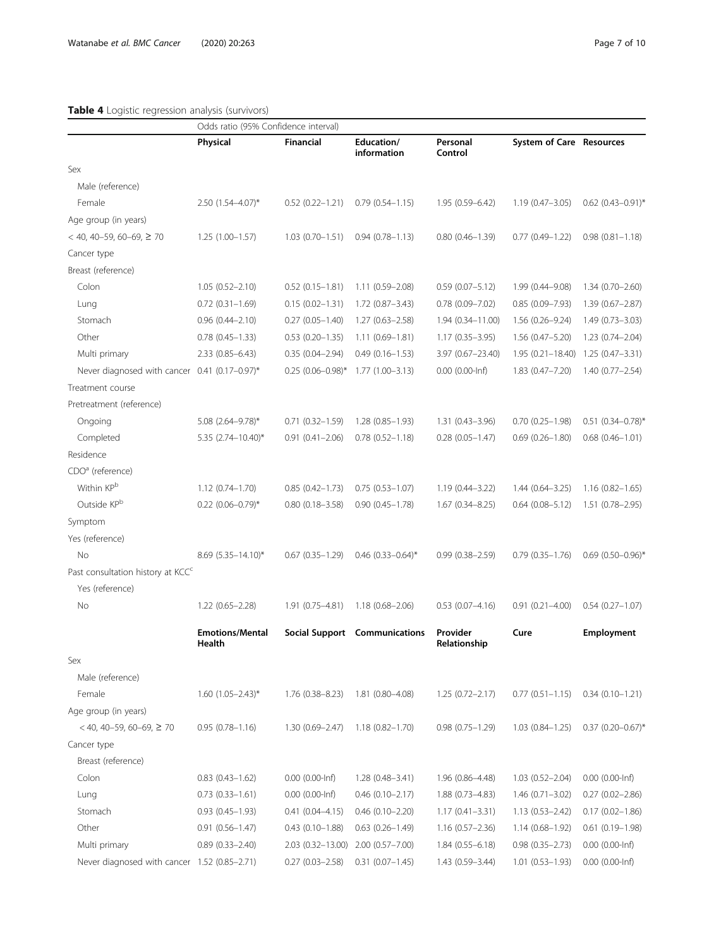#### <span id="page-6-0"></span>Table 4 Logistic regression analysis (survivors)

|                                               | Odds ratio (95% Confidence interval) |                      |                               |                          |                          |                          |  |  |
|-----------------------------------------------|--------------------------------------|----------------------|-------------------------------|--------------------------|--------------------------|--------------------------|--|--|
|                                               | Physical                             | <b>Financial</b>     | Education/<br>information     | Personal<br>Control      | System of Care Resources |                          |  |  |
| Sex                                           |                                      |                      |                               |                          |                          |                          |  |  |
| Male (reference)                              |                                      |                      |                               |                          |                          |                          |  |  |
| Female                                        | $2.50$ (1.54-4.07)*                  | $0.52(0.22 - 1.21)$  | $0.79(0.54 - 1.15)$           | $1.95(0.59 - 6.42)$      | $1.19(0.47 - 3.05)$      | $0.62$ (0.43-0.91)*      |  |  |
| Age group (in years)                          |                                      |                      |                               |                          |                          |                          |  |  |
| $<$ 40, 40-59, 60-69, $\geq$ 70               | $1.25(1.00-1.57)$                    | $1.03(0.70 - 1.51)$  | $0.94(0.78 - 1.13)$           | $0.80(0.46 - 1.39)$      | $0.77(0.49 - 1.22)$      | $0.98(0.81 - 1.18)$      |  |  |
| Cancer type                                   |                                      |                      |                               |                          |                          |                          |  |  |
| Breast (reference)                            |                                      |                      |                               |                          |                          |                          |  |  |
| Colon                                         | $1.05(0.52 - 2.10)$                  | $0.52(0.15 - 1.81)$  | $1.11(0.59 - 2.08)$           | $0.59(0.07 - 5.12)$      | 1.99 (0.44-9.08)         | $1.34(0.70 - 2.60)$      |  |  |
| Lung                                          | $0.72$ $(0.31 - 1.69)$               | $0.15(0.02 - 1.31)$  | 1.72 (0.87-3.43)              | $0.78$ $(0.09 - 7.02)$   | $0.85(0.09 - 7.93)$      | $1.39(0.67 - 2.87)$      |  |  |
| Stomach                                       | $0.96$ $(0.44 - 2.10)$               | $0.27(0.05 - 1.40)$  | $1.27(0.63 - 2.58)$           | $1.94(0.34 - 11.00)$     | $1.56(0.26 - 9.24)$      | $1.49(0.73 - 3.03)$      |  |  |
| Other                                         | $0.78$ $(0.45 - 1.33)$               | $0.53(0.20-1.35)$    | $1.11(0.69 - 1.81)$           | $1.17(0.35 - 3.95)$      | 1.56 (0.47-5.20)         | $1.23(0.74 - 2.04)$      |  |  |
| Multi primary                                 | $2.33(0.85 - 6.43)$                  | $0.35(0.04 - 2.94)$  | $0.49(0.16 - 1.53)$           | 3.97 (0.67-23.40)        | $1.95(0.21 - 18.40)$     | $1.25(0.47 - 3.31)$      |  |  |
| Never diagnosed with cancer 0.41 (0.17-0.97)* |                                      | $0.25$ (0.06-0.98)*  | $1.77(1.00-3.13)$             | $0.00$ (0.00-lnf)        | $1.83(0.47 - 7.20)$      | $1.40(0.77 - 2.54)$      |  |  |
| Treatment course                              |                                      |                      |                               |                          |                          |                          |  |  |
| Pretreatment (reference)                      |                                      |                      |                               |                          |                          |                          |  |  |
| Ongoing                                       | $5.08$ $(2.64 - 9.78)^*$             | $0.71(0.32 - 1.59)$  | $1.28(0.85 - 1.93)$           | $1.31(0.43 - 3.96)$      | $0.70(0.25 - 1.98)$      | $0.51$ $(0.34 - 0.78)^*$ |  |  |
| Completed                                     | 5.35 (2.74-10.40)*                   | $0.91(0.41 - 2.06)$  | $0.78(0.52 - 1.18)$           | $0.28(0.05 - 1.47)$      | $0.69(0.26 - 1.80)$      | $0.68$ $(0.46 - 1.01)$   |  |  |
| Residence                                     |                                      |                      |                               |                          |                          |                          |  |  |
| CDO <sup>a</sup> (reference)                  |                                      |                      |                               |                          |                          |                          |  |  |
| Within KPb                                    | $1.12(0.74 - 1.70)$                  | $0.85(0.42 - 1.73)$  | $0.75(0.53 - 1.07)$           | $1.19(0.44 - 3.22)$      | $1.44(0.64 - 3.25)$      | $1.16(0.82 - 1.65)$      |  |  |
| Outside KP <sup>b</sup>                       | $0.22$ (0.06-0.79)*                  | $0.80(0.18 - 3.58)$  | $0.90(0.45 - 1.78)$           | $1.67(0.34 - 8.25)$      | $0.64$ $(0.08 - 5.12)$   | $1.51(0.78 - 2.95)$      |  |  |
| Symptom                                       |                                      |                      |                               |                          |                          |                          |  |  |
| Yes (reference)                               |                                      |                      |                               |                          |                          |                          |  |  |
| No                                            | 8.69 (5.35-14.10)*                   | $0.67(0.35 - 1.29)$  | $0.46$ $(0.33 - 0.64)$ *      | $0.99(0.38 - 2.59)$      | $0.79(0.35 - 1.76)$      | $0.69$ (0.50-0.96)*      |  |  |
| Past consultation history at KCC <sup>c</sup> |                                      |                      |                               |                          |                          |                          |  |  |
| Yes (reference)                               |                                      |                      |                               |                          |                          |                          |  |  |
| No                                            | 1.22 (0.65-2.28)                     | $1.91(0.75 - 4.81)$  | $1.18(0.68 - 2.06)$           | $0.53$ $(0.07 - 4.16)$   | $0.91(0.21 - 4.00)$      | $0.54(0.27 - 1.07)$      |  |  |
|                                               | <b>Emotions/Mental</b><br>Health     |                      | Social Support Communications | Provider<br>Relationship | Cure                     | <b>Employment</b>        |  |  |
| Sex                                           |                                      |                      |                               |                          |                          |                          |  |  |
| Male (reference)                              |                                      |                      |                               |                          |                          |                          |  |  |
| Female                                        | $1.60$ (1.05-2.43)*                  | $1.76(0.38 - 8.23)$  | 1.81 (0.80-4.08)              | $1.25(0.72 - 2.17)$      | $0.77(0.51 - 1.15)$      | $0.34(0.10-1.21)$        |  |  |
| Age group (in years)                          |                                      |                      |                               |                          |                          |                          |  |  |
| $<$ 40, 40-59, 60-69, $\geq$ 70               | $0.95(0.78 - 1.16)$                  | $1.30(0.69 - 2.47)$  | $1.18(0.82 - 1.70)$           | $0.98(0.75 - 1.29)$      | $1.03(0.84 - 1.25)$      | $0.37(0.20 - 0.67)^*$    |  |  |
| Cancer type                                   |                                      |                      |                               |                          |                          |                          |  |  |
| Breast (reference)                            |                                      |                      |                               |                          |                          |                          |  |  |
| Colon                                         | $0.83(0.43 - 1.62)$                  | $0.00$ (0.00-lnf)    | $1.28(0.48 - 3.41)$           | 1.96 (0.86-4.48)         | $1.03(0.52 - 2.04)$      | $0.00$ (0.00-lnf)        |  |  |
| Lung                                          | $0.73(0.33 - 1.61)$                  | $0.00$ (0.00-lnf)    | $0.46(0.10 - 2.17)$           | $1.88(0.73 - 4.83)$      | $1.46(0.71 - 3.02)$      | $0.27(0.02 - 2.86)$      |  |  |
| Stomach                                       | $0.93(0.45 - 1.93)$                  | $0.41(0.04 - 4.15)$  | $0.46(0.10 - 2.20)$           | $1.17(0.41 - 3.31)$      | $1.13(0.53 - 2.42)$      | $0.17(0.02 - 1.86)$      |  |  |
| Other                                         | $0.91(0.56 - 1.47)$                  | $0.43(0.10-1.88)$    | $0.63(0.26 - 1.49)$           | $1.16(0.57 - 2.36)$      | $1.14(0.68 - 1.92)$      | $0.61(0.19 - 1.98)$      |  |  |
| Multi primary                                 | $0.89(0.33 - 2.40)$                  | $2.03(0.32 - 13.00)$ | $2.00(0.57 - 7.00)$           | $1.84(0.55 - 6.18)$      | $0.98(0.35 - 2.73)$      | $0.00$ (0.00-lnf)        |  |  |
| Never diagnosed with cancer 1.52 (0.85-2.71)  |                                      | $0.27(0.03 - 2.58)$  | $0.31(0.07 - 1.45)$           | 1.43 (0.59-3.44)         | $1.01(0.53 - 1.93)$      | $0.00$ (0.00-lnf)        |  |  |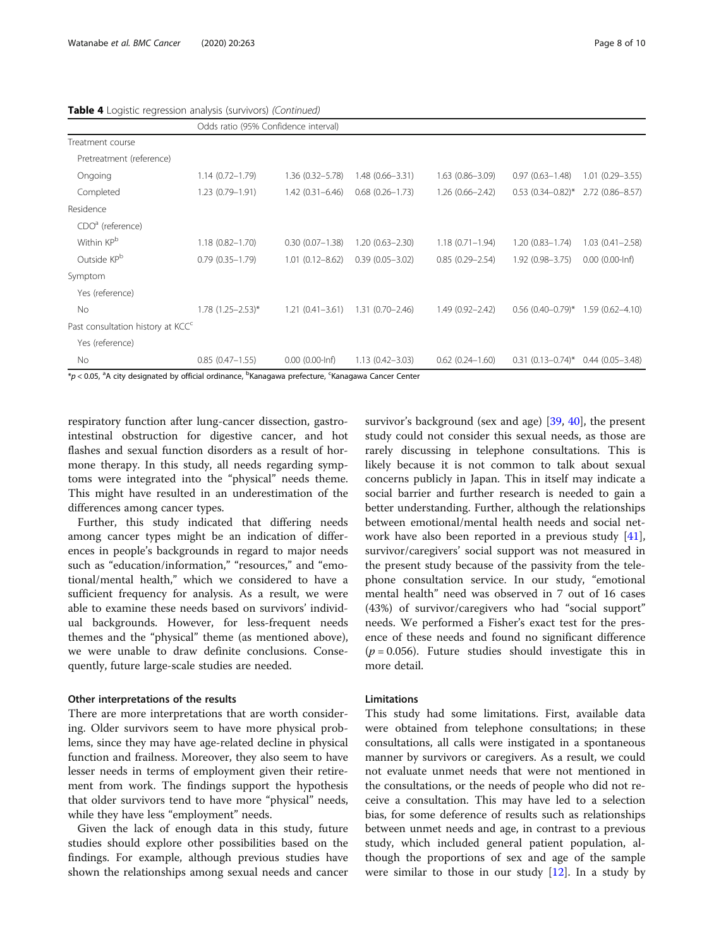|                                               | Odds ratio (95% Confidence interval) |                     |                        |                     |                          |                     |
|-----------------------------------------------|--------------------------------------|---------------------|------------------------|---------------------|--------------------------|---------------------|
| Treatment course                              |                                      |                     |                        |                     |                          |                     |
| Pretreatment (reference)                      |                                      |                     |                        |                     |                          |                     |
| Ongoing                                       | $1.14(0.72 - 1.79)$                  | $1.36(0.32 - 5.78)$ | $1.48(0.66 - 3.31)$    | $1.63(0.86 - 3.09)$ | $0.97(0.63 - 1.48)$      | $1.01(0.29 - 3.55)$ |
| Completed                                     | $1.23(0.79 - 1.91)$                  | $1.42(0.31 - 6.46)$ | $0.68$ $(0.26 - 1.73)$ | $1.26(0.66 - 2.42)$ | $0.53$ $(0.34 - 0.82)$ * | 2.72 (0.86-8.57)    |
| Residence                                     |                                      |                     |                        |                     |                          |                     |
| $CDOa$ (reference)                            |                                      |                     |                        |                     |                          |                     |
| Within KP <sup>b</sup>                        | $1.18(0.82 - 1.70)$                  | $0.30(0.07 - 1.38)$ | $1.20(0.63 - 2.30)$    | $1.18(0.71 - 1.94)$ | $1.20(0.83 - 1.74)$      | $1.03(0.41 - 2.58)$ |
| Outside KP <sup>b</sup>                       | $0.79(0.35 - 1.79)$                  | $1.01(0.12 - 8.62)$ | $0.39(0.05 - 3.02)$    | $0.85(0.29 - 2.54)$ | 1.92 (0.98-3.75)         | $0.00$ (0.00-lnf)   |
| Symptom                                       |                                      |                     |                        |                     |                          |                     |
| Yes (reference)                               |                                      |                     |                        |                     |                          |                     |
| No                                            | $1.78$ $(1.25 - 2.53)^*$             | $1.21(0.41 - 3.61)$ | $1.31(0.70 - 2.46)$    | $1.49(0.92 - 2.42)$ | $0.56$ (0.40-0.79)*      | $1.59(0.62 - 4.10)$ |
| Past consultation history at KCC <sup>c</sup> |                                      |                     |                        |                     |                          |                     |
| Yes (reference)                               |                                      |                     |                        |                     |                          |                     |
| No                                            | $0.85(0.47 - 1.55)$                  | $0.00$ (0.00-lnf)   | $1.13(0.42 - 3.03)$    | $0.62(0.24 - 1.60)$ | $0.31(0.13 - 0.74)^{*}$  | $0.44(0.05 - 3.48)$ |

Table 4 Logistic regression analysis (survivors) (Continued)

 $^{\ast}$ p < 0.05,  $^{\mathrm{a}}$ A city designated by official ordinance,  $^{\mathrm{b}}$ Kanagawa prefecture, <sup>c</sup>Kanagawa Cancer Center

respiratory function after lung-cancer dissection, gastrointestinal obstruction for digestive cancer, and hot flashes and sexual function disorders as a result of hormone therapy. In this study, all needs regarding symptoms were integrated into the "physical" needs theme. This might have resulted in an underestimation of the differences among cancer types.

Further, this study indicated that differing needs among cancer types might be an indication of differences in people's backgrounds in regard to major needs such as "education/information," "resources," and "emotional/mental health," which we considered to have a sufficient frequency for analysis. As a result, we were able to examine these needs based on survivors' individual backgrounds. However, for less-frequent needs themes and the "physical" theme (as mentioned above), we were unable to draw definite conclusions. Consequently, future large-scale studies are needed.

#### Other interpretations of the results

There are more interpretations that are worth considering. Older survivors seem to have more physical problems, since they may have age-related decline in physical function and frailness. Moreover, they also seem to have lesser needs in terms of employment given their retirement from work. The findings support the hypothesis that older survivors tend to have more "physical" needs, while they have less "employment" needs.

Given the lack of enough data in this study, future studies should explore other possibilities based on the findings. For example, although previous studies have shown the relationships among sexual needs and cancer

survivor's background (sex and age) [[39,](#page-9-0) [40\]](#page-9-0), the present study could not consider this sexual needs, as those are rarely discussing in telephone consultations. This is likely because it is not common to talk about sexual concerns publicly in Japan. This in itself may indicate a social barrier and further research is needed to gain a better understanding. Further, although the relationships between emotional/mental health needs and social network have also been reported in a previous study [\[41](#page-9-0)], survivor/caregivers' social support was not measured in the present study because of the passivity from the telephone consultation service. In our study, "emotional mental health" need was observed in 7 out of 16 cases (43%) of survivor/caregivers who had "social support" needs. We performed a Fisher's exact test for the presence of these needs and found no significant difference  $(p = 0.056)$ . Future studies should investigate this in more detail.

#### **Limitations**

This study had some limitations. First, available data were obtained from telephone consultations; in these consultations, all calls were instigated in a spontaneous manner by survivors or caregivers. As a result, we could not evaluate unmet needs that were not mentioned in the consultations, or the needs of people who did not receive a consultation. This may have led to a selection bias, for some deference of results such as relationships between unmet needs and age, in contrast to a previous study, which included general patient population, although the proportions of sex and age of the sample were similar to those in our study  $[12]$  $[12]$ . In a study by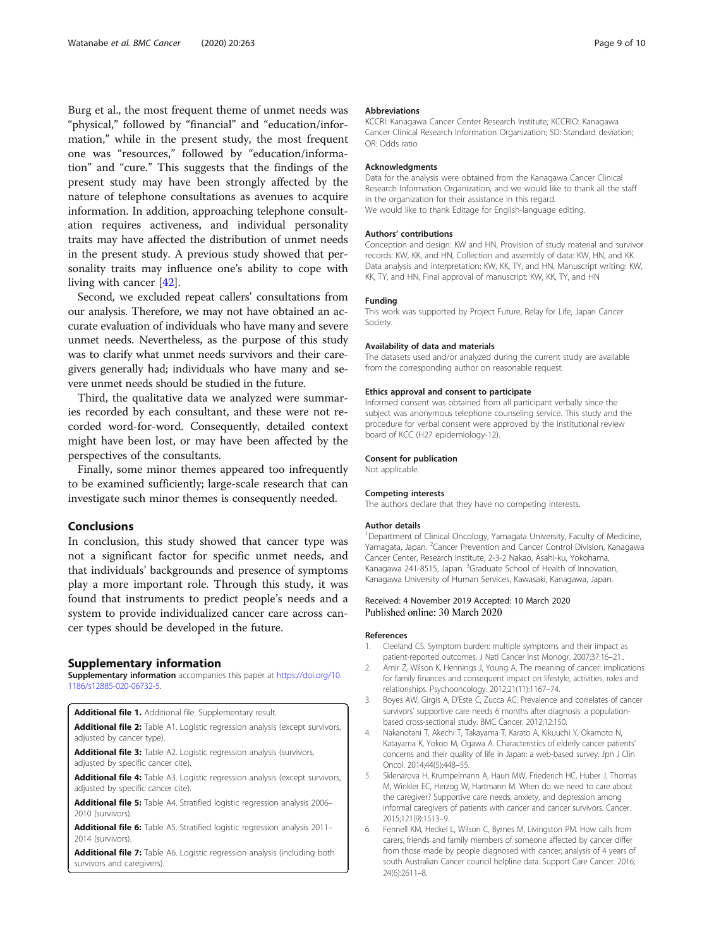<span id="page-8-0"></span>Burg et al., the most frequent theme of unmet needs was "physical," followed by "financial" and "education/information," while in the present study, the most frequent one was "resources," followed by "education/information" and "cure." This suggests that the findings of the present study may have been strongly affected by the nature of telephone consultations as avenues to acquire information. In addition, approaching telephone consultation requires activeness, and individual personality traits may have affected the distribution of unmet needs in the present study. A previous study showed that personality traits may influence one's ability to cope with living with cancer [[42](#page-9-0)].

Second, we excluded repeat callers' consultations from our analysis. Therefore, we may not have obtained an accurate evaluation of individuals who have many and severe unmet needs. Nevertheless, as the purpose of this study was to clarify what unmet needs survivors and their caregivers generally had; individuals who have many and severe unmet needs should be studied in the future.

Third, the qualitative data we analyzed were summaries recorded by each consultant, and these were not recorded word-for-word. Consequently, detailed context might have been lost, or may have been affected by the perspectives of the consultants.

Finally, some minor themes appeared too infrequently to be examined sufficiently; large-scale research that can investigate such minor themes is consequently needed.

#### Conclusions

In conclusion, this study showed that cancer type was not a significant factor for specific unmet needs, and that individuals' backgrounds and presence of symptoms play a more important role. Through this study, it was found that instruments to predict people's needs and a system to provide individualized cancer care across cancer types should be developed in the future.

#### Supplementary information

Supplementary information accompanies this paper at [https://doi.org/10.](https://doi.org/10.1186/s12885-020-06732-5) [1186/s12885-020-06732-5](https://doi.org/10.1186/s12885-020-06732-5).

Additional file 1. Additional file. Supplementary result

Additional file 2: Table A1. Logistic regression analysis (except survivors, adjusted by cancer type).

Additional file 3: Table A2. Logistic regression analysis (survivors, adjusted by specific cancer cite).

Additional file 4: Table A3. Logistic regression analysis (except survivors, adjusted by specific cancer cite).

Additional file 5: Table A4. Stratified logistic regression analysis 2006-2010 (survivors)

Additional file 6: Table A5. Stratified logistic regression analysis 2011-2014 (survivors).

Additional file 7: Table A6. Logistic regression analysis (including both survivors and caregivers).

#### Abbreviations

KCCRI: Kanagawa Cancer Center Research Institute; KCCRIO: Kanagawa Cancer Clinical Research Information Organization; SD: Standard deviation; OR: Odds ratio

#### Acknowledgments

Data for the analysis were obtained from the Kanagawa Cancer Clinical Research Information Organization, and we would like to thank all the staff in the organization for their assistance in this regard. We would like to thank Editage for English-language editing.

#### Authors' contributions

Conception and design: KW and HN, Provision of study material and survivor records: KW, KK, and HN, Collection and assembly of data: KW, HN, and KK. Data analysis and interpretation: KW, KK, TY, and HN, Manuscript writing: KW, KK, TY, and HN, Final approval of manuscript: KW, KK, TY, and HN

#### Funding

This work was supported by Project Future, Relay for Life, Japan Cancer Society.

#### Availability of data and materials

The datasets used and/or analyzed during the current study are available from the corresponding author on reasonable request.

#### Ethics approval and consent to participate

Informed consent was obtained from all participant verbally since the subject was anonymous telephone counseling service. This study and the procedure for verbal consent were approved by the institutional review board of KCC (H27 epidemiology-12).

#### Consent for publication

Not applicable.

#### Competing interests

The authors declare that they have no competing interests.

#### Author details

<sup>1</sup>Department of Clinical Oncology, Yamagata University, Faculty of Medicine, Yamagata, Japan. <sup>2</sup>Cancer Prevention and Cancer Control Division, Kanagawa Cancer Center, Research Institute, 2-3-2 Nakao, Asahi-ku, Yokohama, Kanagawa 241-8515, Japan. <sup>3</sup>Graduate School of Health of Innovation, Kanagawa University of Human Services, Kawasaki, Kanagawa, Japan.

# Received: 4 November 2019 Accepted: 10 March 2020

#### References

- 1. Cleeland CS. Symptom burden: multiple symptoms and their impact as patient-reported outcomes. J Natl Cancer Inst Monogr. 2007;37:16–21..
- 2. Amir Z, Wilson K, Hennings J, Young A. The meaning of cancer: implications for family finances and consequent impact on lifestyle, activities, roles and relationships. Psychooncology. 2012;21(11):1167–74.
- 3. Boyes AW, Girgis A, D'Este C, Zucca AC. Prevalence and correlates of cancer survivors' supportive care needs 6 months after diagnosis: a populationbased cross-sectional study. BMC Cancer. 2012;12:150.
- 4. Nakanotani T, Akechi T, Takayama T, Karato A, Kikuuchi Y, Okamoto N, Katayama K, Yokoo M, Ogawa A. Characteristics of elderly cancer patients' concerns and their quality of life in Japan: a web-based survey. Jpn J Clin Oncol. 2014;44(5):448–55.
- Sklenarova H, Krumpelmann A, Haun MW, Friederich HC, Huber J, Thomas M, Winkler EC, Herzog W, Hartmann M. When do we need to care about the caregiver? Supportive care needs, anxiety, and depression among informal caregivers of patients with cancer and cancer survivors. Cancer. 2015;121(9):1513–9.
- 6. Fennell KM, Heckel L, Wilson C, Byrnes M, Livingston PM. How calls from carers, friends and family members of someone affected by cancer differ from those made by people diagnosed with cancer; analysis of 4 years of south Australian Cancer council helpline data. Support Care Cancer. 2016; 24(6):2611–8.